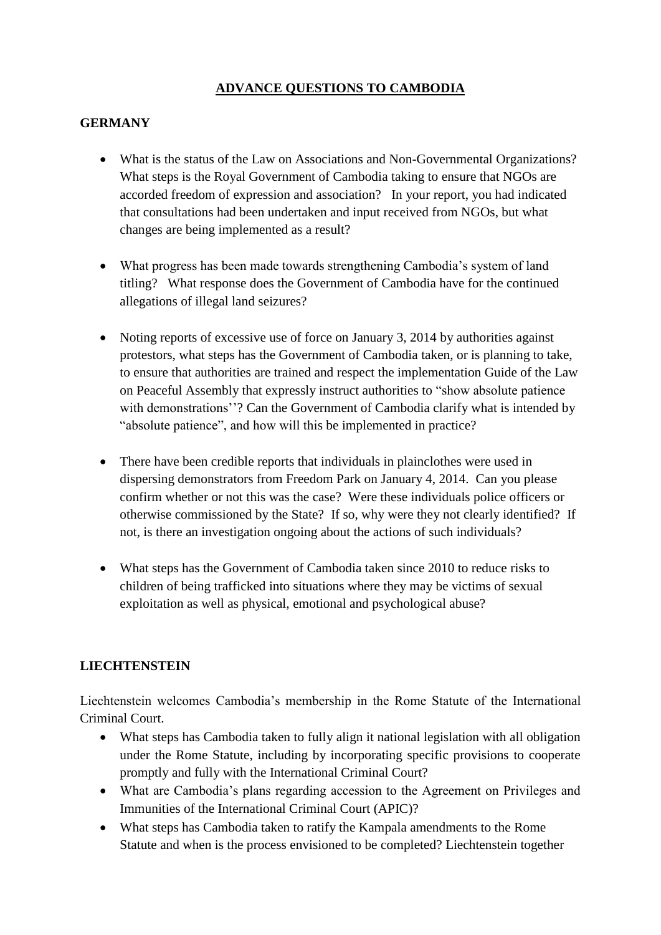# **ADVANCE QUESTIONS TO CAMBODIA**

### **GERMANY**

- What is the status of the Law on Associations and Non-Governmental Organizations? What steps is the Royal Government of Cambodia taking to ensure that NGOs are accorded freedom of expression and association? In your report, you had indicated that consultations had been undertaken and input received from NGOs, but what changes are being implemented as a result?
- What progress has been made towards strengthening Cambodia's system of land titling? What response does the Government of Cambodia have for the continued allegations of illegal land seizures?
- Noting reports of excessive use of force on January 3, 2014 by authorities against protestors, what steps has the Government of Cambodia taken, or is planning to take, to ensure that authorities are trained and respect the implementation Guide of the Law on Peaceful Assembly that expressly instruct authorities to "show absolute patience with demonstrations"? Can the Government of Cambodia clarify what is intended by "absolute patience", and how will this be implemented in practice?
- There have been credible reports that individuals in plainclothes were used in dispersing demonstrators from Freedom Park on January 4, 2014. Can you please confirm whether or not this was the case? Were these individuals police officers or otherwise commissioned by the State? If so, why were they not clearly identified? If not, is there an investigation ongoing about the actions of such individuals?
- What steps has the Government of Cambodia taken since 2010 to reduce risks to children of being trafficked into situations where they may be victims of sexual exploitation as well as physical, emotional and psychological abuse?

## **LIECHTENSTEIN**

Liechtenstein welcomes Cambodia's membership in the Rome Statute of the International Criminal Court.

- What steps has Cambodia taken to fully align it national legislation with all obligation under the Rome Statute, including by incorporating specific provisions to cooperate promptly and fully with the International Criminal Court?
- What are Cambodia's plans regarding accession to the Agreement on Privileges and Immunities of the International Criminal Court (APIC)?
- What steps has Cambodia taken to ratify the Kampala amendments to the Rome Statute and when is the process envisioned to be completed? Liechtenstein together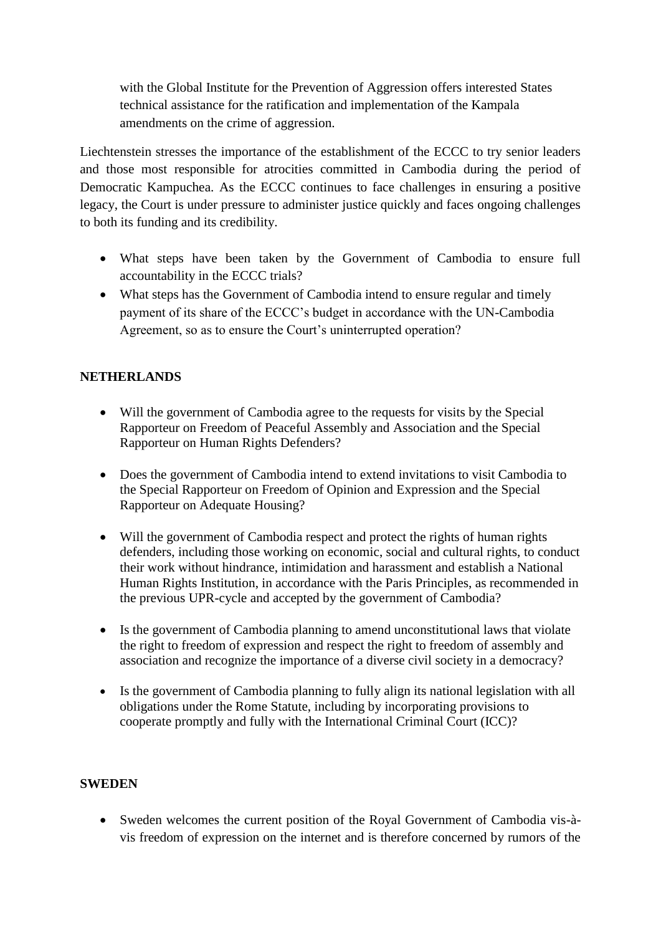with the Global Institute for the Prevention of Aggression offers interested States technical assistance for the ratification and implementation of the Kampala amendments on the crime of aggression.

Liechtenstein stresses the importance of the establishment of the ECCC to try senior leaders and those most responsible for atrocities committed in Cambodia during the period of Democratic Kampuchea. As the ECCC continues to face challenges in ensuring a positive legacy, the Court is under pressure to administer justice quickly and faces ongoing challenges to both its funding and its credibility.

- What steps have been taken by the Government of Cambodia to ensure full accountability in the ECCC trials?
- What steps has the Government of Cambodia intend to ensure regular and timely payment of its share of the ECCC's budget in accordance with the UN-Cambodia Agreement, so as to ensure the Court's uninterrupted operation?

#### **NETHERLANDS**

- Will the government of Cambodia agree to the requests for visits by the Special Rapporteur on Freedom of Peaceful Assembly and Association and the Special Rapporteur on Human Rights Defenders?
- Does the government of Cambodia intend to extend invitations to visit Cambodia to the Special Rapporteur on Freedom of Opinion and Expression and the Special Rapporteur on Adequate Housing?
- Will the government of Cambodia respect and protect the rights of human rights defenders, including those working on economic, social and cultural rights, to conduct their work without hindrance, intimidation and harassment and establish a National Human Rights Institution, in accordance with the Paris Principles, as recommended in the previous UPR-cycle and accepted by the government of Cambodia?
- Is the government of Cambodia planning to amend unconstitutional laws that violate the right to freedom of expression and respect the right to freedom of assembly and association and recognize the importance of a diverse civil society in a democracy?
- Is the government of Cambodia planning to fully align its national legislation with all obligations under the Rome Statute, including by incorporating provisions to cooperate promptly and fully with the International Criminal Court (ICC)?

#### **SWEDEN**

 Sweden welcomes the current position of the Royal Government of Cambodia vis-àvis freedom of expression on the internet and is therefore concerned by rumors of the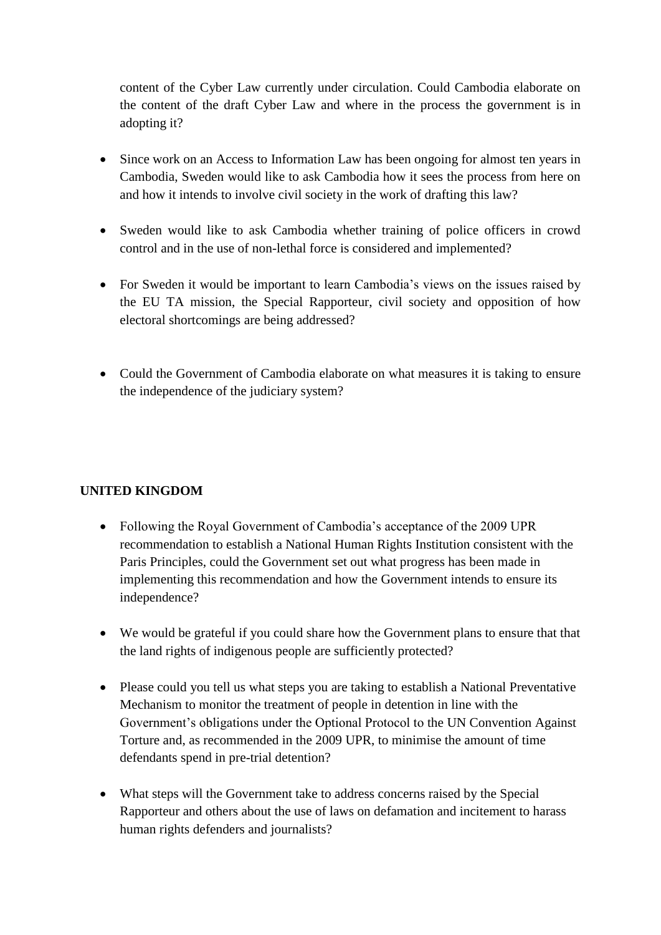content of the Cyber Law currently under circulation. Could Cambodia elaborate on the content of the draft Cyber Law and where in the process the government is in adopting it?

- Since work on an Access to Information Law has been ongoing for almost ten years in Cambodia, Sweden would like to ask Cambodia how it sees the process from here on and how it intends to involve civil society in the work of drafting this law?
- Sweden would like to ask Cambodia whether training of police officers in crowd control and in the use of non-lethal force is considered and implemented?
- For Sweden it would be important to learn Cambodia's views on the issues raised by the EU TA mission, the Special Rapporteur, civil society and opposition of how electoral shortcomings are being addressed?
- Could the Government of Cambodia elaborate on what measures it is taking to ensure the independence of the judiciary system?

## **UNITED KINGDOM**

- Following the Royal Government of Cambodia's acceptance of the 2009 UPR recommendation to establish a National Human Rights Institution consistent with the Paris Principles, could the Government set out what progress has been made in implementing this recommendation and how the Government intends to ensure its independence?
- We would be grateful if you could share how the Government plans to ensure that that the land rights of indigenous people are sufficiently protected?
- Please could you tell us what steps you are taking to establish a National Preventative Mechanism to monitor the treatment of people in detention in line with the Government's obligations under the Optional Protocol to the UN Convention Against Torture and, as recommended in the 2009 UPR, to minimise the amount of time defendants spend in pre-trial detention?
- What steps will the Government take to address concerns raised by the Special Rapporteur and others about the use of laws on defamation and incitement to harass human rights defenders and journalists?